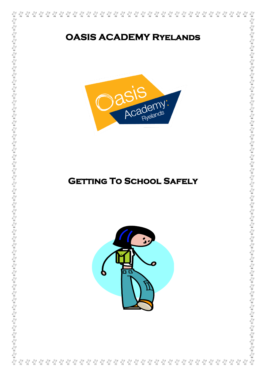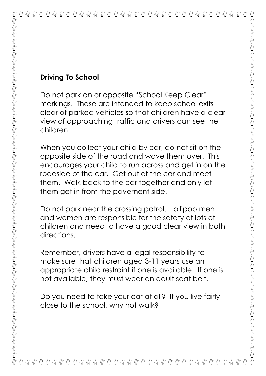| <b>Driving To School</b>                                                                                                                                                                                                                                                                                            |
|---------------------------------------------------------------------------------------------------------------------------------------------------------------------------------------------------------------------------------------------------------------------------------------------------------------------|
| Do not park on or opposite "School Keep Clear"<br>markings. These are intended to keep school exits<br>clear of parked vehicles so that children have a clear<br>view of approaching traffic and drivers can see the<br>children.                                                                                   |
| When you collect your child by car, do not sit on the<br>opposite side of the road and wave them over. This<br>encourages your child to run across and get in on the<br>roadside of the car. Get out of the car and meet<br>them. Walk back to the car together and only let<br>them get in from the pavement side. |
| Do not park near the crossing patrol. Lollipop men<br>and women are responsible for the safety of lots of<br>children and need to have a good clear view in both<br>directions.                                                                                                                                     |
| Remember, drivers have a legal responsibility to<br>make sure that children aged 3-11 years use an<br>appropriate child restraint if one is available. If one is<br>not available, they must wear an adult seat belt.                                                                                               |
| Do you need to take your car at all? If you live fairly<br>close to the school, why not walk?                                                                                                                                                                                                                       |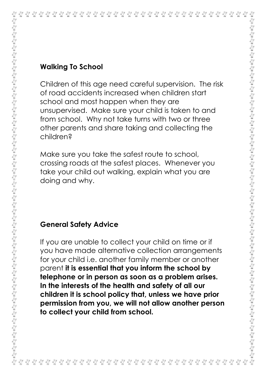|                                                                                                                                                                                                                                                                                                                                                                                                                                                                                                                           | <b>Walking To School</b>                                                                                                                                                                                                                                                                                                                                                                                                                                                                            |
|---------------------------------------------------------------------------------------------------------------------------------------------------------------------------------------------------------------------------------------------------------------------------------------------------------------------------------------------------------------------------------------------------------------------------------------------------------------------------------------------------------------------------|-----------------------------------------------------------------------------------------------------------------------------------------------------------------------------------------------------------------------------------------------------------------------------------------------------------------------------------------------------------------------------------------------------------------------------------------------------------------------------------------------------|
| $\mathbb{Z}\times\mathbb{Z}\times\mathbb{Z}\times\mathbb{Z}\times\mathbb{Z}\times\mathbb{Z}\times\mathbb{Z}\times\mathbb{Z}\times\mathbb{Z}\times\mathbb{Z}\times\mathbb{Z}\times\mathbb{Z}\times\mathbb{Z}\times\mathbb{Z}\times\mathbb{Z}\times\mathbb{Z}\times\mathbb{Z}\times\mathbb{Z}\times\mathbb{Z}\times\mathbb{Z}\times\mathbb{Z}\times\mathbb{Z}\times\mathbb{Z}\times\mathbb{Z}\times\mathbb{Z}\times\mathbb{Z}\times\mathbb{Z}\times\mathbb{Z}\times\mathbb{Z}\times\mathbb{Z}\times\mathbb{Z}\times\mathbb$ | Children of this age need careful supervision. The risk<br>of road accidents increased when children start<br>school and most happen when they are<br>unsupervised. Make sure your child is taken to and<br>from school. Why not take turns with two or three<br>other parents and share taking and collecting the<br>children?                                                                                                                                                                     |
|                                                                                                                                                                                                                                                                                                                                                                                                                                                                                                                           | Make sure you take the safest route to school,<br>crossing roads at the safest places. Whenever you<br>take your child out walking, explain what you are<br>doing and why.                                                                                                                                                                                                                                                                                                                          |
|                                                                                                                                                                                                                                                                                                                                                                                                                                                                                                                           | <b>General Safety Advice</b>                                                                                                                                                                                                                                                                                                                                                                                                                                                                        |
| $\mathcal{S}\in\mathbb{C}$ and $\mathcal{S}\in\mathbb{C}$ and $\mathcal{S}\in\mathbb{C}$ and $\mathcal{S}\in\mathbb{C}$ and $\mathcal{S}\in\mathbb{C}$ and                                                                                                                                                                                                                                                                                                                                                                | If you are unable to collect your child on time or if<br>you have made alternative collection arrangements<br>for your child i.e. another family member or another<br>parent it is essential that you inform the school by<br>telephone or in person as soon as a problem arises.<br>In the interests of the health and safety of all our<br>children it is school policy that, unless we have prior<br>permission from you, we will not allow another person<br>to collect your child from school. |
|                                                                                                                                                                                                                                                                                                                                                                                                                                                                                                                           |                                                                                                                                                                                                                                                                                                                                                                                                                                                                                                     |

## **Walking To School**

## **General Safety Advice**

นี้ นี ୷